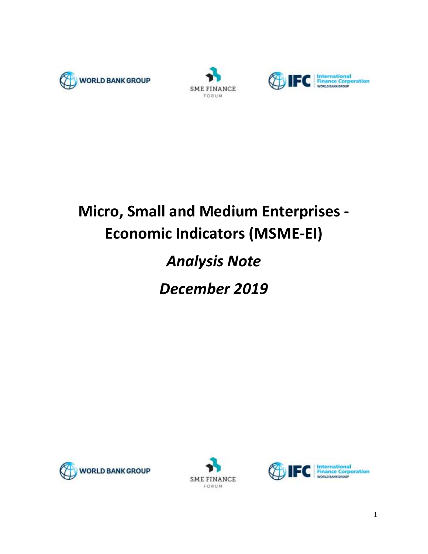





# **Micro, Small and Medium Enterprises - Economic Indicators (MSME-EI)**

## *Analysis Note*

*December 2019*





<span id="page-0-0"></span>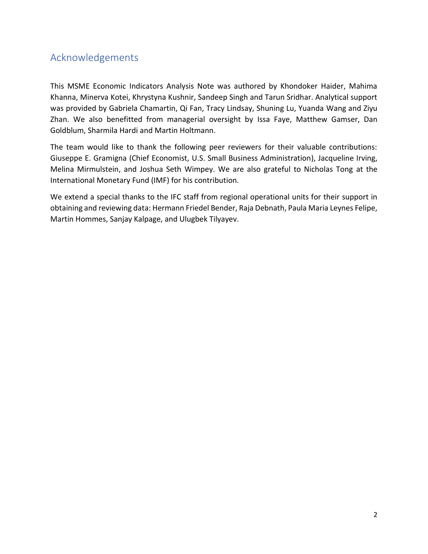## Acknowledgements

This MSME Economic Indicators Analysis Note was authored by Khondoker Haider, Mahima Khanna, Minerva Kotei, Khrystyna Kushnir, Sandeep Singh and Tarun Sridhar. Analytical support was provided by Gabriela Chamartin, Qi Fan, Tracy Lindsay, Shuning Lu, Yuanda Wang and Ziyu Zhan. We also benefitted from managerial oversight by Issa Faye, Matthew Gamser, Dan Goldblum, Sharmila Hardi and Martin Holtmann.

The team would like to thank the following peer reviewers for their valuable contributions: Giuseppe E. Gramigna (Chief Economist, U.S. Small Business Administration), Jacqueline Irving, Melina Mirmulstein, and Joshua Seth Wimpey. We are also grateful to Nicholas Tong at the International Monetary Fund (IMF) for his contribution.

We extend a special thanks to the IFC staff from regional operational units for their support in obtaining and reviewing data: Hermann Friedel Bender, Raja Debnath, Paula Maria Leynes Felipe, Martin Hommes, Sanjay Kalpage, and Ulugbek Tilyayev.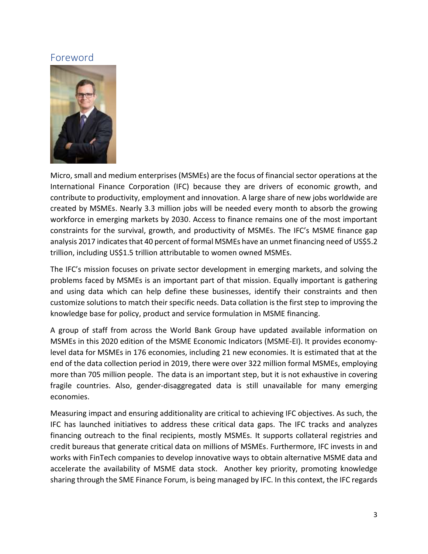## Foreword



Micro, small and medium enterprises (MSMEs) are the focus of financial sector operations at the International Finance Corporation (IFC) because they are drivers of economic growth, and contribute to productivity, employment and innovation. A large share of new jobs worldwide are created by MSMEs. Nearly 3.3 million jobs will be needed every month to absorb the growing workforce in emerging markets by 2030. Access to finance remains one of the most important constraints for the survival, growth, and productivity of MSMEs. The IFC's MSME finance gap analysis 2017 indicates that 40 percent of formal MSMEs have an unmet financing need of US\$5.2 trillion, including US\$1.5 trillion attributable to women owned MSMEs.

The IFC's mission focuses on private sector development in emerging markets, and solving the problems faced by MSMEs is an important part of that mission. Equally important is gathering and using data which can help define these businesses, identify their constraints and then customize solutions to match their specific needs. Data collation is the first step to improving the knowledge base for policy, product and service formulation in MSME financing.

A group of staff from across the World Bank Group have updated available information on MSMEs in this 2020 edition of the MSME Economic Indicators (MSME-EI). It provides economylevel data for MSMEs in 176 economies, including 21 new economies. It is estimated that at the end of the data collection period in 2019, there were over 322 million formal MSMEs, employing more than 705 million people. The data is an important step, but it is not exhaustive in covering fragile countries. Also, gender-disaggregated data is still unavailable for many emerging economies.

Measuring impact and ensuring additionality are critical to achieving IFC objectives. As such, the IFC has launched initiatives to address these critical data gaps. The IFC tracks and analyzes financing outreach to the final recipients, mostly MSMEs. It supports collateral registries and credit bureaus that generate critical data on millions of MSMEs. Furthermore, IFC invests in and works with FinTech companies to develop innovative ways to obtain alternative MSME data and accelerate the availability of MSME data stock. Another key priority, promoting knowledge sharing through the SME Finance Forum, is being managed by IFC. In this context, the IFC regards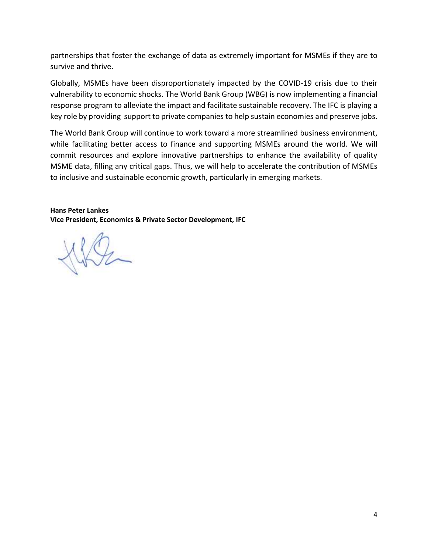partnerships that foster the exchange of data as extremely important for MSMEs if they are to survive and thrive.

Globally, MSMEs have been disproportionately impacted by the COVID-19 crisis due to their vulnerability to economic shocks. The World Bank Group (WBG) is now implementing a financial response program to alleviate the impact and facilitate sustainable recovery. The IFC is playing a key role by providing [support](https://ifcextapps.ifc.org/ifcext/pressroom/ifcpressroom.nsf/0/CCCB1EAC6F61E32C8525852E0068124B?OpenDocument) to private companies to help sustain economies and preserve jobs.

The World Bank Group will continue to work toward a more streamlined business environment, while facilitating better access to finance and supporting MSMEs around the world. We will commit resources and explore innovative partnerships to enhance the availability of quality MSME data, filling any critical gaps. Thus, we will help to accelerate the contribution of MSMEs to inclusive and sustainable economic growth, particularly in emerging markets.

**Hans Peter Lankes Vice President, Economics & Private Sector Development, IFC**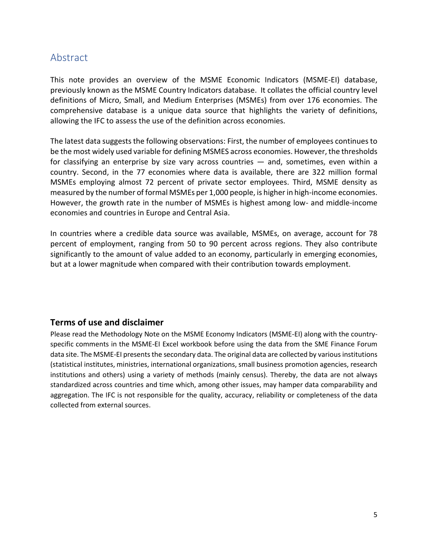## <span id="page-4-0"></span>Abstract

This note provides an overview of the MSME Economic Indicators (MSME-EI) database, previously known as the MSME Country Indicators database. It collates the official country level definitions of Micro, Small, and Medium Enterprises (MSMEs) from over 176 economies. The comprehensive database is a unique data source that highlights the variety of definitions, allowing the IFC to assess the use of the definition across economies.

The latest data suggests the following observations: First, the number of employees continues to be the most widely used variable for defining MSMES across economies. However, the thresholds for classifying an enterprise by size vary across countries  $-$  and, sometimes, even within a country. Second, in the 77 economies where data is available, there are 322 million formal MSMEs employing almost 72 percent of private sector employees. Third, MSME density as measured by the number of formal MSMEs per 1,000 people, is higher in high-income economies. However, the growth rate in the number of MSMEs is highest among low- and middle-income economies and countries in Europe and Central Asia.

In countries where a credible data source was available, MSMEs, on average, account for 78 percent of employment, ranging from 50 to 90 percent across regions. They also contribute significantly to the amount of value added to an economy, particularly in emerging economies, but at a lower magnitude when compared with their contribution towards employment.

### **Terms of use and disclaimer**

Please read the Methodology Note on the MSME Economy Indicators (MSME-EI) along with the countryspecific comments in the MSME-EI Excel workbook before using the data from the SME Finance Forum data site. The MSME-EI presents the secondary data. The original data are collected by various institutions (statistical institutes, ministries, international organizations, small business promotion agencies, research institutions and others) using a variety of methods (mainly census). Thereby, the data are not always standardized across countries and time which, among other issues, may hamper data comparability and aggregation. The IFC is not responsible for the quality, accuracy, reliability or completeness of the data collected from external sources.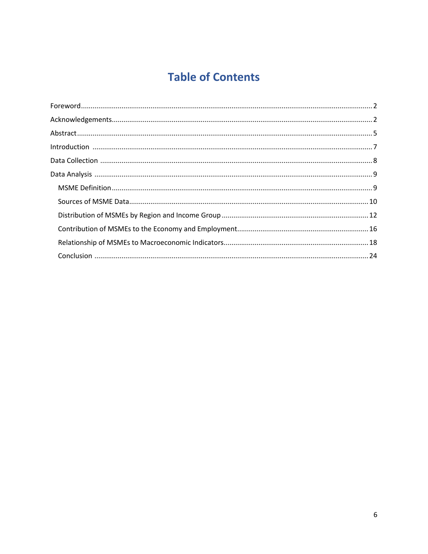## **Table of Contents**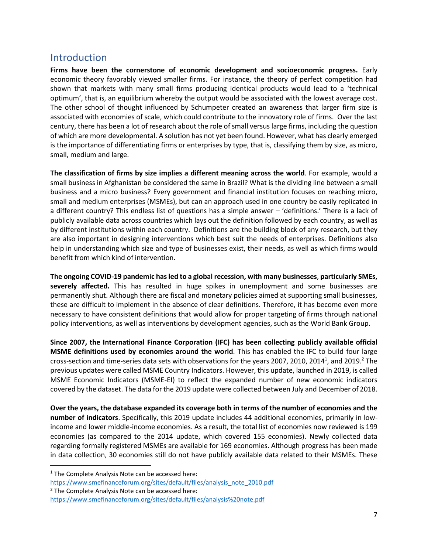## <span id="page-6-0"></span>**Introduction**

**Firms have been the cornerstone of economic development and socioeconomic progress.** Early economic theory favorably viewed smaller firms. For instance, the theory of perfect competition had shown that markets with many small firms producing identical products would lead to a 'technical optimum', that is, an equilibrium whereby the output would be associated with the lowest average cost. The other school of thought influenced by Schumpeter created an awareness that larger firm size is associated with economies of scale, which could contribute to the innovatory role of firms. Over the last century, there has been a lot of research about the role of small versus large firms, including the question of which are more developmental. A solution has not yet been found. However, what has clearly emerged is the importance of differentiating firms or enterprises by type, that is, classifying them by size, as micro, small, medium and large.

**The classification of firms by size implies a different meaning across the world**. For example, would a small business in Afghanistan be considered the same in Brazil? What is the dividing line between a small business and a micro business? Every government and financial institution focuses on reaching micro, small and medium enterprises (MSMEs), but can an approach used in one country be easily replicated in a different country? This endless list of questions has a simple answer – 'definitions.' There is a lack of publicly available data across countries which lays out the definition followed by each country, as well as by different institutions within each country. Definitions are the building block of any research, but they are also important in designing interventions which best suit the needs of enterprises. Definitions also help in understanding which size and type of businesses exist, their needs, as well as which firms would benefit from which kind of intervention.

**The ongoing COVID-19 pandemic has led to a global recession, with many businesses**, **particularly SMEs, severely affected.** This has resulted in huge spikes in unemployment and some businesses are permanently shut. Although there are fiscal and monetary policies aimed at supporting small businesses, these are difficult to implement in the absence of clear definitions. Therefore, it has become even more necessary to have consistent definitions that would allow for proper targeting of firms through national policy interventions, as well as interventions by development agencies, such as the World Bank Group.

**Since 2007, the International Finance Corporation (IFC) has been collecting publicly available official MSME definitions used by economies around the world**. This has enabled the IFC to build four large cross-section and time-series data sets with observations for the years 2007, 2010, 2014<sup>1</sup>, and 2019.<sup>2</sup> The previous updates were called MSME Country Indicators. However, this update, launched in 2019, is called MSME Economic Indicators (MSME-EI) to reflect the expanded number of new economic indicators covered by the dataset. The data for the 2019 update were collected between July and December of 2018.

**Over the years, the database expanded its coverage both in terms of the number of economies and the number of indicators**. Specifically, this 2019 update includes 44 additional economies, primarily in lowincome and lower middle-income economies. As a result, the total list of economies now reviewed is 199 economies (as compared to the 2014 update, which covered 155 economies). Newly collected data regarding formally registered MSMEs are available for 169 economies. Although progress has been made in data collection, 30 economies still do not have publicly available data related to their MSMEs. These

 $1$  The Complete Analysis Note can be accessed here:

[https://www.smefinanceforum.org/sites/default/files/analysis\\_note\\_2010.pdf](https://www.smefinanceforum.org/sites/default/files/analysis_note_2010.pdf)

<sup>&</sup>lt;sup>2</sup> The Complete Analysis Note can be accessed here:

<https://www.smefinanceforum.org/sites/default/files/analysis%20note.pdf>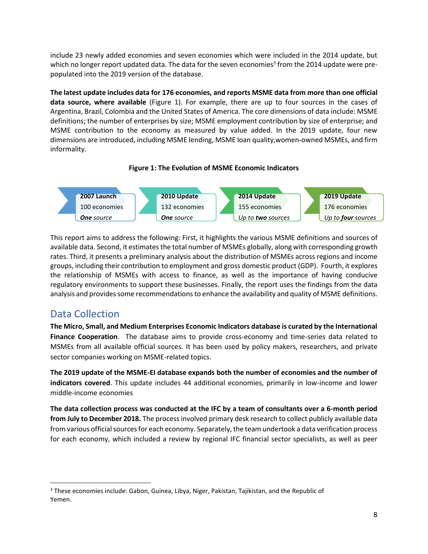include 23 newly added economies and seven economies which were included in the 2014 update, but which no longer report updated data. The data for the seven economies<sup>3</sup> from the 2014 update were prepopulated into the 2019 version of the database.

**The latest update includes data for 176 economies, and reports MSME data from more than one official data source, where available** (Figure 1). For example, there are up to four sources in the cases of Argentina, Brazil, Colombia and the United States of America. The core dimensions of data include: MSME definitions; the number of enterprises by size; MSME employment contribution by size of enterprise; and MSME contribution to the economy as measured by value added. In the 2019 update, four new dimensions are introduced, including MSME lending, MSME loan quality,women-owned MSMEs, and firm informality.





This report aims to address the following: First, it highlights the various MSME definitions and sources of available data. Second, it estimates the total number of MSMEs globally, along with corresponding growth rates. Third, it presents a preliminary analysis about the distribution of MSMEs across regions and income groups, including their contribution to employment and gross domestic product (GDP). Fourth, it explores the relationship of MSMEs with access to finance, as well as the importance of having conducive regulatory environments to support these businesses. Finally, the report uses the findings from the data analysis and provides some recommendations to enhance the availability and quality of MSME definitions.

## <span id="page-7-0"></span>Data Collection

**The Micro, Small, and Medium Enterprises Economic Indicators database is curated by the International Finance Cooperation**. The database aims to provide cross-economy and time-series data related to MSMEs from all available official sources. It has been used by policy makers, researchers, and private sector companies working on MSME-related topics.

**The 2019 update of the MSME-EI database expands both the number of economies and the number of indicators covered**. This update includes 44 additional economies, primarily in low-income and lower middle-income economies

**The data collection process was conducted at the IFC by a team of consultants over a 6-month period from July to December 2018.** The process involved primary desk research to collect publicly available data from various official sources for each economy. Separately, the team undertook a data verification process for each economy, which included a review by regional IFC financial sector specialists, as well as peer

<sup>&</sup>lt;sup>3</sup> These economies include: Gabon, Guinea, Libya, Niger, Pakistan, Tajikistan, and the Republic of Yemen.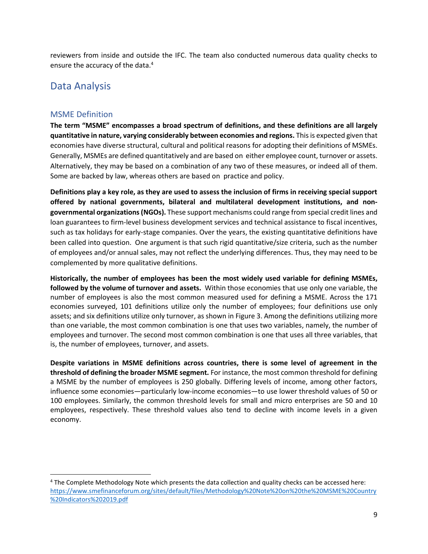reviewers from inside and outside the IFC. The team also conducted numerous data quality checks to ensure the accuracy of the data.<sup>4</sup>

## <span id="page-8-0"></span>Data Analysis

#### <span id="page-8-1"></span>MSME Definition

**The term "MSME" encompasses a broad spectrum of definitions, and these definitions are all largely quantitative in nature, varying considerably between economies and regions.** This is expected given that economies have diverse structural, cultural and political reasons for adopting their definitions of MSMEs. Generally, MSMEs are defined quantitatively and are based on either employee count, turnover or assets. Alternatively, they may be based on a combination of any two of these measures, or indeed all of them. Some are backed by law, whereas others are based on practice and policy.

**Definitions play a key role, as they are used to assess the inclusion of firms in receiving special support offered by national governments, bilateral and multilateral development institutions, and nongovernmental organizations (NGOs).** These support mechanisms could range from special credit lines and loan guarantees to firm-level business development services and technical assistance to fiscal incentives, such as tax holidays for early-stage companies. Over the years, the existing quantitative definitions have been called into question. One argument is that such rigid quantitative/size criteria, such as the number of employees and/or annual sales, may not reflect the underlying differences. Thus, they may need to be complemented by more qualitative definitions.

**Historically, the number of employees has been the most widely used variable for defining MSMEs, followed by the volume of turnover and assets.** Within those economies that use only one variable, the number of employees is also the most common measured used for defining a MSME. Across the 171 economies surveyed, 101 definitions utilize only the number of employees; four definitions use only assets; and six definitions utilize only turnover, as shown in Figure 3. Among the definitions utilizing more than one variable, the most common combination is one that uses two variables, namely, the number of employees and turnover. The second most common combination is one that uses all three variables, that is, the number of employees, turnover, and assets.

**Despite variations in MSME definitions across countries, there is some level of agreement in the threshold of defining the broader MSME segment.** For instance, the most common threshold for defining a MSME by the number of employees is 250 globally. Differing levels of income, among other factors, influence some economies—particularly low-income economies—to use lower threshold values of 50 or 100 employees. Similarly, the common threshold levels for small and micro enterprises are 50 and 10 employees, respectively. These threshold values also tend to decline with income levels in a given economy.

<sup>4</sup> The Complete Methodology Note which presents the data collection and quality checks can be accessed here: [https://www.smefinanceforum.org/sites/default/files/Methodology%20Note%20on%20the%20MSME%20Country](https://www.smefinanceforum.org/sites/default/files/Methodology%20Note%20on%20the%20MSME%20Country%20Indicators%202019.pdf) [%20Indicators%202019.pdf](https://www.smefinanceforum.org/sites/default/files/Methodology%20Note%20on%20the%20MSME%20Country%20Indicators%202019.pdf)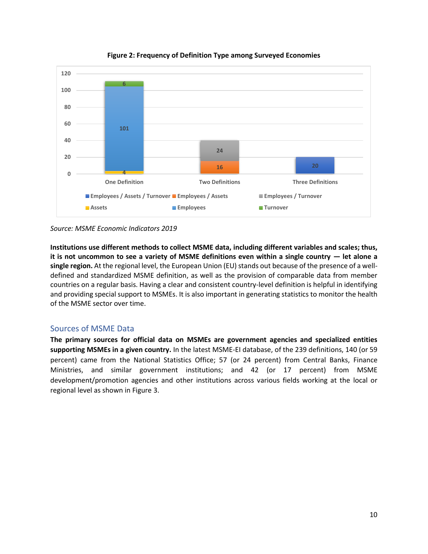



**Institutions use different methods to collect MSME data, including different variables and scales; thus, it is not uncommon to see a variety of MSME definitions even within a single country — let alone a single region.** At the regional level, the European Union (EU) stands out because of the presence of a welldefined and standardized MSME definition, as well as the provision of comparable data from member countries on a regular basis. Having a clear and consistent country-level definition is helpful in identifying and providing special support to MSMEs. It is also important in generating statistics to monitor the health of the MSME sector over time.

#### <span id="page-9-0"></span>Sources of MSME Data

**The primary sources for official data on MSMEs are government agencies and specialized entities supporting MSMEs in a given country.** In the latest MSME-EI database, of the 239 definitions, 140 (or 59 percent) came from the National Statistics Office; 57 (or 24 percent) from Central Banks, Finance Ministries, and similar government institutions; and 42 (or 17 percent) from MSME development/promotion agencies and other institutions across various fields working at the local or regional level as shown in Figure 3.

*Source: MSME Economic Indicators 2019*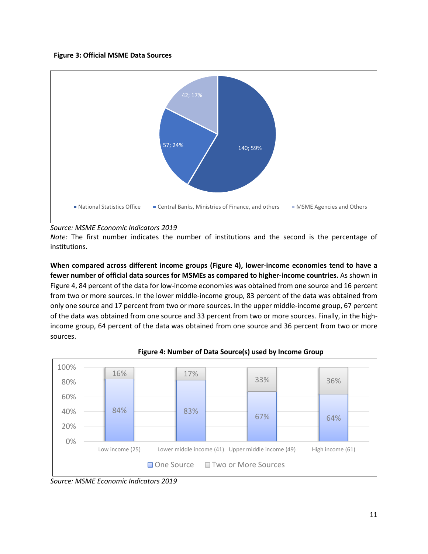#### **Figure 3: Official MSME Data Sources**



#### *Source: MSME Economic Indicators 2019*

*Note:* The first number indicates the number of institutions and the second is the percentage of institutions.

**When compared across different income groups (Figure 4), lower-income economies tend to have a fewer number of offici**a**l data sources for MSMEs as compared to higher-income countries.** As shown in Figure 4, 84 percent of the data for low-income economies was obtained from one source and 16 percent from two or more sources. In the lower middle-income group, 83 percent of the data was obtained from only one source and 17 percent from two or more sources. In the upper middle-income group, 67 percent of the data was obtained from one source and 33 percent from two or more sources. Finally, in the highincome group, 64 percent of the data was obtained from one source and 36 percent from two or more sources.



#### **Figure 4: Number of Data Source(s) used by Income Group**

*Source: MSME Economic Indicators 2019*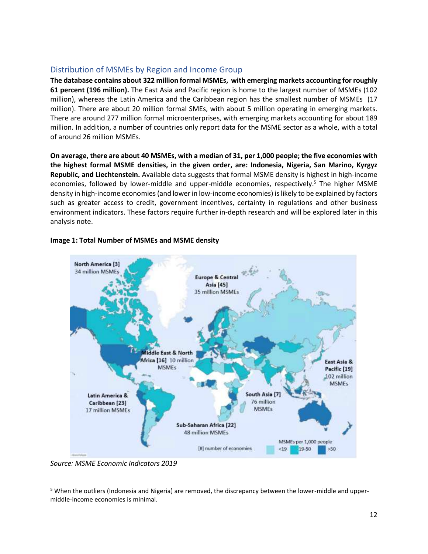#### <span id="page-11-0"></span>Distribution of MSMEs by Region and Income Group

**The database contains about 322 million formal MSMEs, with emerging markets accounting for roughly 61 percent (196 million).** The East Asia and Pacific region is home to the largest number of MSMEs (102 million), whereas the Latin America and the Caribbean region has the smallest number of MSMEs (17 million). There are about 20 million formal SMEs, with about 5 million operating in emerging markets. There are around 277 million formal microenterprises, with emerging markets accounting for about 189 million. In addition, a number of countries only report data for the MSME sector as a whole, with a total of around 26 million MSMEs.

**On average, there are about 40 MSMEs, with a median of 31, per 1,000 people; the five economies with the highest formal MSME densities, in the given order, are: Indonesia, Nigeria, San Marino, Kyrgyz Republic, and Liechtenstein.** Available data suggests that formal MSME density is highest in high-income economies, followed by lower-middle and upper-middle economies, respectively.<sup>5</sup> The higher MSME density in high-income economies(and lower in low-income economies) is likely to be explained by factors such as greater access to credit, government incentives, certainty in regulations and other business environment indicators. These factors require further in-depth research and will be explored later in this analysis note.



#### **Image 1: Total Number of MSMEs and MSME density**

*Source: MSME Economic Indicators 2019*

<sup>&</sup>lt;sup>5</sup> When the outliers (Indonesia and Nigeria) are removed, the discrepancy between the lower-middle and uppermiddle-income economies is minimal.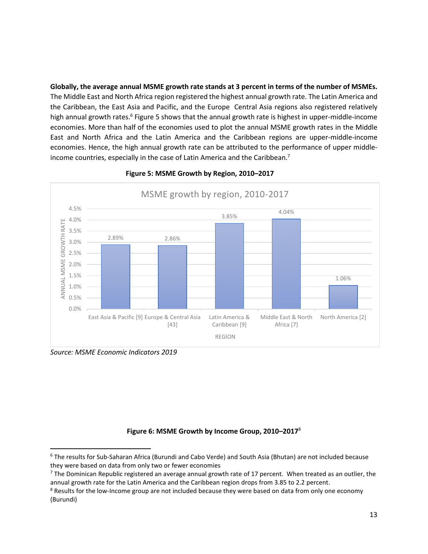**Globally, the average annual MSME growth rate stands at 3 percent in terms of the number of MSMEs.**  The Middle East and North Africa region registered the highest annual growth rate. The Latin America and the Caribbean, the East Asia and Pacific, and the Europe Central Asia regions also registered relatively high annual growth rates.<sup>6</sup> Figure 5 shows that the annual growth rate is highest in upper-middle-income economies. More than half of the economies used to plot the annual MSME growth rates in the Middle East and North Africa and the Latin America and the Caribbean regions are upper-middle-income economies. Hence, the high annual growth rate can be attributed to the performance of upper middleincome countries, especially in the case of Latin America and the Caribbean.<sup>7</sup>



#### **Figure 5: MSME Growth by Region, 2010–2017**

*Source: MSME Economic Indicators 2019*

#### **Figure 6: MSME Growth by Income Group, 2010–2017**<sup>8</sup>

<sup>6</sup> The results for Sub-Saharan Africa (Burundi and Cabo Verde) and South Asia (Bhutan) are not included because they were based on data from only two or fewer economies

 $<sup>7</sup>$  The Dominican Republic registered an average annual growth rate of 17 percent. When treated as an outlier, the</sup> annual growth rate for the Latin America and the Caribbean region drops from 3.85 to 2.2 percent.

<sup>&</sup>lt;sup>8</sup> Results for the low-Income group are not included because they were based on data from only one economy (Burundi)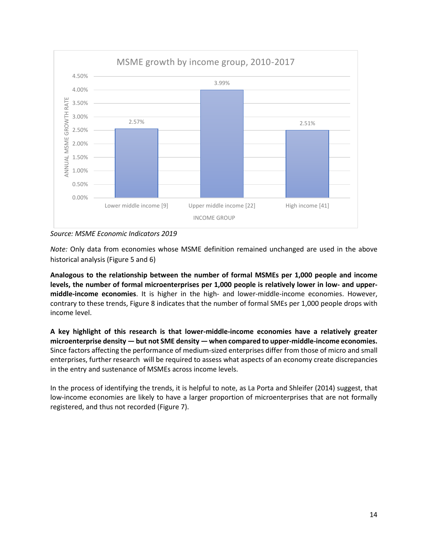

*Source: MSME Economic Indicators 2019*

*Note:* Only data from economies whose MSME definition remained unchanged are used in the above historical analysis (Figure 5 and 6)

**Analogous to the relationship between the number of formal MSMEs per 1,000 people and income levels, the number of formal microenterprises per 1,000 people is relatively lower in low- and uppermiddle-income economies**. It is higher in the high- and lower-middle-income economies. However, contrary to these trends, Figure 8 indicates that the number of formal SMEs per 1,000 people drops with income level.

**A key highlight of this research is that lower-middle-income economies have a relatively greater microenterprise density — but not SME density — when compared to upper-middle-income economies.** Since factors affecting the performance of medium-sized enterprises differ from those of micro and small enterprises, further research will be required to assess what aspects of an economy create discrepancies in the entry and sustenance of MSMEs across income levels.

In the process of identifying the trends, it is helpful to note, as La Porta and Shleifer (2014) suggest, that low-income economies are likely to have a larger proportion of microenterprises that are not formally registered, and thus not recorded (Figure 7).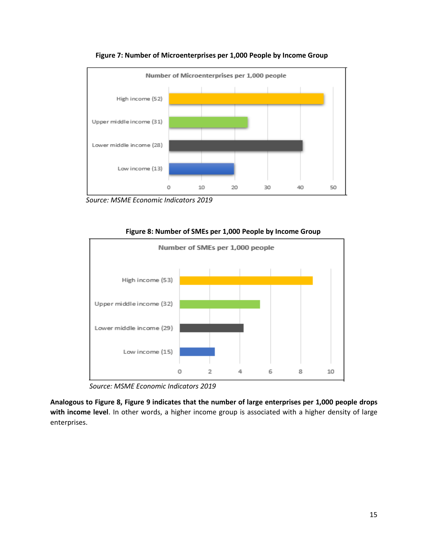

**Figure 7: Number of Microenterprises per 1,000 People by Income Group**

 *Source: MSME Economic Indicators 2019*



**Figure 8: Number of SMEs per 1,000 People by Income Group**

*Source: MSME Economic Indicators 2019*

**Analogous to Figure 8, Figure 9 indicates that the number of large enterprises per 1,000 people drops with income level**. In other words, a higher income group is associated with a higher density of large enterprises.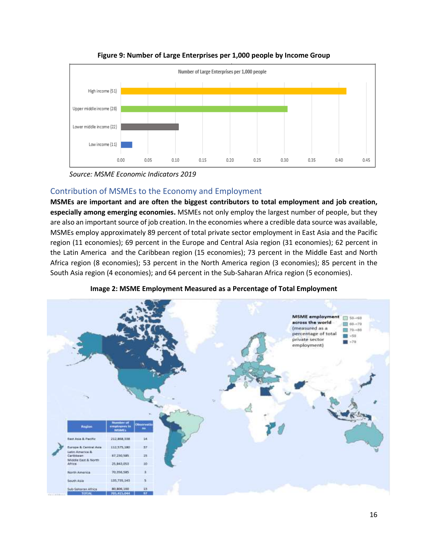

**Figure 9: Number of Large Enterprises per 1,000 people by Income Group**

*Source: MSME Economic Indicators 2019*

### <span id="page-15-0"></span>Contribution of MSMEs to the Economy and Employment

**MSMEs are important and are often the biggest contributors to total employment and job creation, especially among emerging economies.** MSMEs not only employ the largest number of people, but they are also an important source of job creation. In the economies where a credible data source was available, MSMEs employ approximately 89 percent of total private sector employment in East Asia and the Pacific region (11 economies); 69 percent in the Europe and Central Asia region (31 economies); 62 percent in the Latin America and the Caribbean region (15 economies); 73 percent in the Middle East and North Africa region (8 economies); 53 percent in the North America region (3 economies); 85 percent in the South Asia region (4 economies); and 64 percent in the Sub-Saharan Africa region (5 economies).



**Image 2: MSME Employment Measured as a Percentage of Total Employment**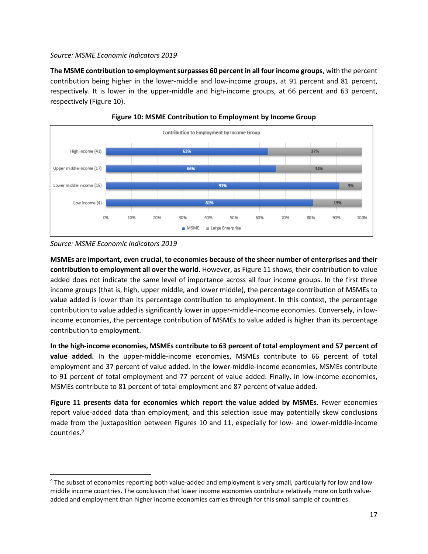#### *Source: MSME Economic Indicators 2019*

**The MSME contribution to employment surpasses 60 percent in all four income groups**, with the percent contribution being higher in the lower-middle and low-income groups, at 91 percent and 81 percent, respectively. It is lower in the upper-middle and high-income groups, at 66 percent and 63 percent, respectively (Figure 10).





**MSMEs are important, even crucial, to economies because of the sheer number of enterprises and their contribution to employment all over the world.** However, as Figure 11 shows, their contribution to value added does not indicate the same level of importance across all four income groups. In the first three income groups (that is, high, upper middle, and lower middle), the percentage contribution of MSMEs to value added is lower than its percentage contribution to employment. In this context, the percentage contribution to value added is significantly lower in upper-middle-income economies. Conversely, in lowincome economies, the percentage contribution of MSMEs to value added is higher than its percentage contribution to employment.

**In the high-income economies, MSMEs contribute to 63 percent of total employment and 57 percent of value added.** In the upper-middle-income economies, MSMEs contribute to 66 percent of total employment and 37 percent of value added. In the lower-middle-income economies, MSMEs contribute to 91 percent of total employment and 77 percent of value added. Finally, in low-income economies, MSMEs contribute to 81 percent of total employment and 87 percent of value added.

**Figure 11 presents data for economies which report the value added by MSMEs.** Fewer economies report value-added data than employment, and this selection issue may potentially skew conclusions made from the juxtaposition between Figures 10 and 11, especially for low- and lower-middle-income countries.<sup>9</sup>

*Source: MSME Economic Indicators 2019*

<sup>9</sup> The subset of economies reporting both value-added and employment is very small, particularly for low and lowmiddle income countries. The conclusion that lower income economies contribute relatively more on both valueadded and employment than higher income economies carries through for this small sample of countries.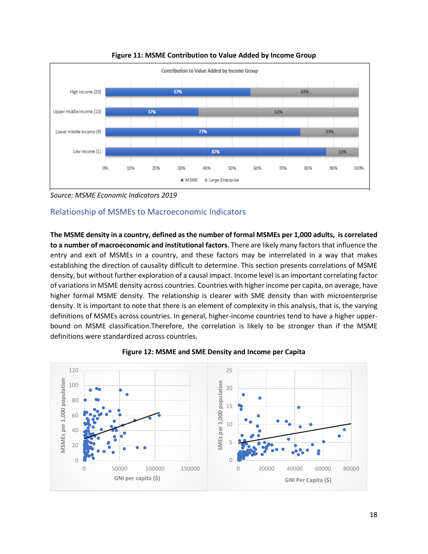

**Figure 11: MSME Contribution to Value Added by Income Group**

*Source: MSME Economic Indicators 2019*

## <span id="page-17-0"></span>Relationship of MSMEs to Macroeconomic Indicators

**The MSME density in a country, defined as the number of formal MSMEs per 1,000 adults, is correlated to a number of macroeconomic and institutional factors**. There are likely many factors that influence the entry and exit of MSMEs in a country, and these factors may be interrelated in a way that makes establishing the direction of causality difficult to determine. This section presents correlations of MSME density, but without further exploration of a causal impact. Income level is an important correlating factor of variations in MSME density across countries. Countries with higher income per capita, on average, have higher formal MSME density. The relationship is clearer with SME density than with microenterprise density. It is important to note that there is an element of complexity in this analysis, that is, the varying definitions of MSMEs across countries. In general, higher-income countries tend to have a higher upperbound on MSME classification.Therefore, the correlation is likely to be stronger than if the MSME definitions were standardized across countries.



#### **Figure 12: MSME and SME Density and Income per Capita**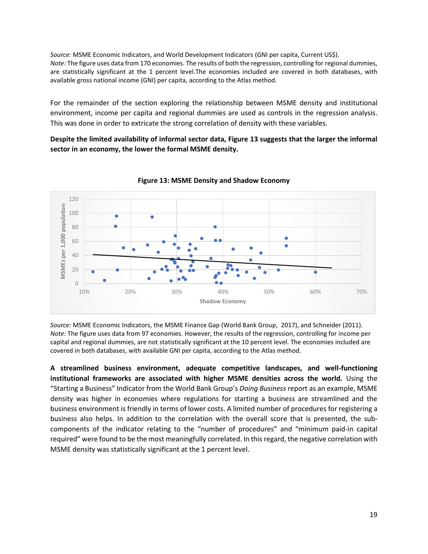*Source:* MSME Economic Indicators, and World Development Indicators (GNI per capita, Current US\$). *Note:* The figure uses data from 170 economies. The results of both the regression, controlling for regional dummies, are statistically significant at the 1 percent level.The economies included are covered in both databases, with available gross national income (GNI) per capita, according to the Atlas method.

For the remainder of the section exploring the relationship between MSME density and institutional environment, income per capita and regional dummies are used as controls in the regression analysis. This was done in order to extricate the strong correlation of density with these variables.

**Despite the limited availability of informal sector data, Figure 13 suggests that the larger the informal sector in an economy, the lower the formal MSME density.**



**Figure 13: MSME Density and Shadow Economy**

*Source:* MSME Economic Indicators, the MSME Finance Gap (World Bank Group, 2017), and Schneider (2011). *Note:* The figure uses data from 97 economies. However, the results of the regression, controlling for income per capital and regional dummies, are not statistically significant at the 10 percent level. The economies included are covered in both databases, with available GNI per capita, according to the Atlas method.

**A streamlined business environment, adequate competitive landscapes, and well-functioning institutional frameworks are associated with higher MSME densities across the world.** Using the "Starting a Business" Indicator from the World Bank Group's *Doing Business* report as an example, MSME density was higher in economies where regulations for starting a business are streamlined and the business environment is friendly in terms of lower costs. A limited number of procedures for registering a business also helps. In addition to the correlation with the overall score that is presented, the subcomponents of the indicator relating to the "number of procedures" and "minimum paid-in capital required" were found to be the most meaningfully correlated. In this regard, the negative correlation with MSME density was statistically significant at the 1 percent level.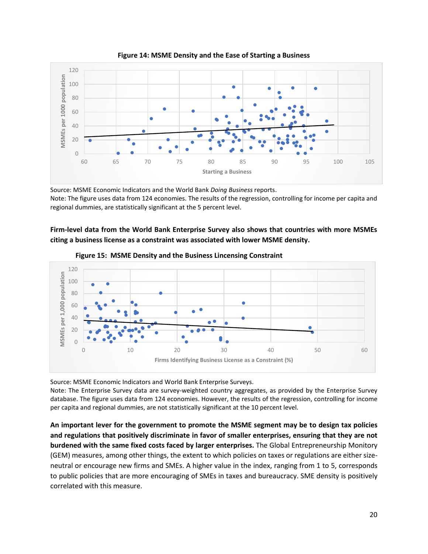

**Figure 14: MSME Density and the Ease of Starting a Business**

Source: MSME Economic Indicators and the World Bank *Doing Business* reports. Note: The figure uses data from 124 economies. The results of the regression, controlling for income per capita and regional dummies, are statistically significant at the 5 percent level.

**Firm-level data from the World Bank Enterprise Survey also shows that countries with more MSMEs citing a business license as a constraint was associated with lower MSME density.**



**Figure 15: MSME Density and the Business Lincensing Constraint**

Source: MSME Economic Indicators and World Bank Enterprise Surveys.

Note: The Enterprise Survey data are survey-weighted country aggregates, as provided by the Enterprise Survey database. The figure uses data from 124 economies. However, the results of the regression, controlling for income per capita and regional dummies, are not statistically significant at the 10 percent level.

**An important lever for the government to promote the MSME segment may be to design tax policies and regulations that positively discriminate in favor of smaller enterprises, ensuring that they are not burdened with the same fixed costs faced by larger enterprises.** The Global Entrepreneurship Monitory (GEM) measures, among other things, the extent to which policies on taxes or regulations are either sizeneutral or encourage new firms and SMEs. A higher value in the index, ranging from 1 to 5, corresponds to public policies that are more encouraging of SMEs in taxes and bureaucracy. SME density is positively correlated with this measure.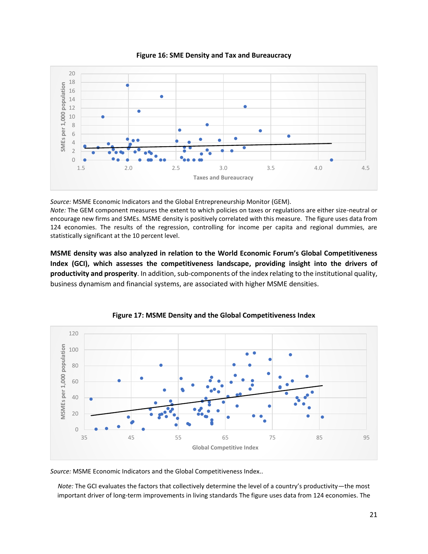

**Figure 16: SME Density and Tax and Bureaucracy**

*Source:* MSME Economic Indicators and the Global Entrepreneurship Monitor (GEM).

*Note:* The GEM component measures the extent to which policies on taxes or regulations are either size-neutral or encourage new firms and SMEs. MSME density is positively correlated with this measure. The figure uses data from 124 economies. The results of the regression, controlling for income per capita and regional dummies, are statistically significant at the 10 percent level.

**MSME density was also analyzed in relation to the World Economic Forum's Global Competitiveness Index (GCI), which assesses the competitiveness landscape, providing insight into the drivers of productivity and prosperity**. In addition, sub-components of the index relating to the institutional quality, business dynamism and financial systems, are associated with higher MSME densities.





*Source:* MSME Economic Indicators and the Global Competitiveness Index..

*Note:* The GCI evaluates the factors that collectively determine the level of a country's productivity—the most important driver of long-term improvements in living standards The figure uses data from 124 economies. The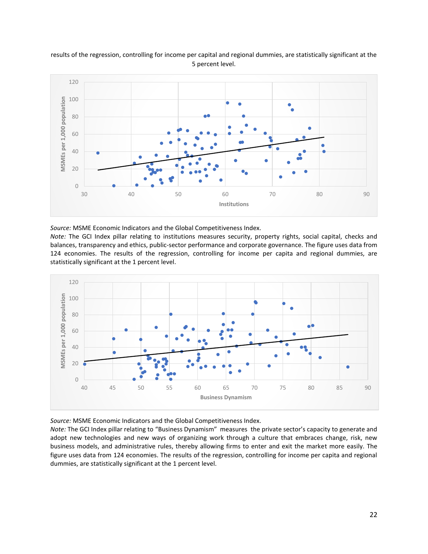

#### results of the regression, controlling for income per capital and regional dummies, are statistically significant at the 5 percent level.

*Source:* MSME Economic Indicators and the Global Competitiveness Index.

*Note:* The GCI Index pillar relating to institutions measures security, property rights, social capital, checks and balances, transparency and ethics, public-sector performance and corporate governance. The figure uses data from 124 economies. The results of the regression, controlling for income per capita and regional dummies, are statistically significant at the 1 percent level.



*Source:* MSME Economic Indicators and the Global Competitiveness Index.

*Note:* The GCI Index pillar relating to "Business Dynamism" measures the private sector's capacity to generate and adopt new technologies and new ways of organizing work through a culture that embraces change, risk, new business models, and administrative rules, thereby allowing firms to enter and exit the market more easily. The figure uses data from 124 economies. The results of the regression, controlling for income per capita and regional dummies, are statistically significant at the 1 percent level.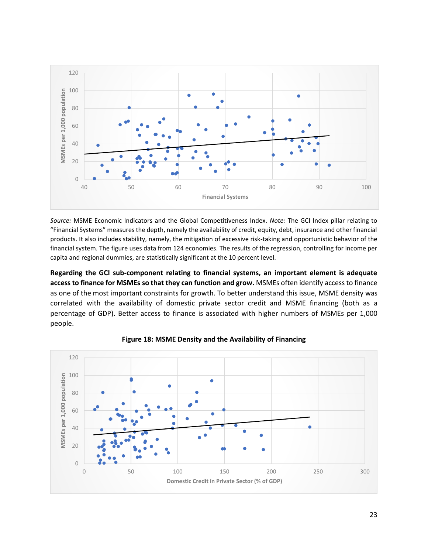

*Source:* MSME Economic Indicators and the Global Competitiveness Index. *Note:* The GCI Index pillar relating to "Financial Systems" measures the depth, namely the availability of credit, equity, debt, insurance and other financial products. It also includes stability, namely, the mitigation of excessive risk-taking and opportunistic behavior of the financial system. The figure uses data from 124 economies. The results of the regression, controlling for income per capita and regional dummies, are statistically significant at the 10 percent level.

**Regarding the GCI sub-component relating to financial systems, an important element is adequate access to finance for MSMEs so that they can function and grow.** MSMEs often identify access to finance as one of the most important constraints for growth. To better understand this issue, MSME density was correlated with the availability of domestic private sector credit and MSME financing (both as a percentage of GDP). Better access to finance is associated with higher numbers of MSMEs per 1,000 people.



**Figure 18: MSME Density and the Availability of Financing**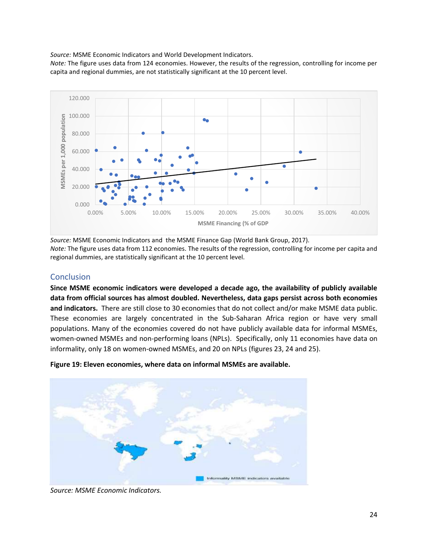*Source:* MSME Economic Indicators and World Development Indicators.

*Note:* The figure uses data from 124 economies. However, the results of the regression, controlling for income per capita and regional dummies, are not statistically significant at the 10 percent level.



*Source:* MSME Economic Indicators and the MSME Finance Gap (World Bank Group, 2017). *Note:* The figure uses data from 112 economies. The results of the regression, controlling for income per capita and regional dummies, are statistically significant at the 10 percent level.

#### <span id="page-23-0"></span>**Conclusion**

**Since MSME economic indicators were developed a decade ago, the availability of publicly available data from official sources has almost doubled. Nevertheless, data gaps persist across both economies and indicators.** There are still close to 30 economies that do not collect and/or make MSME data public. These economies are largely concentrated in the Sub-Saharan Africa region or have very small populations. Many of the economies covered do not have publicly available data for informal MSMEs, women-owned MSMEs and non-performing loans (NPLs). Specifically, only 11 economies have data on informality, only 18 on women-owned MSMEs, and 20 on NPLs (figures 23, 24 and 25).





*Source: MSME Economic Indicators.*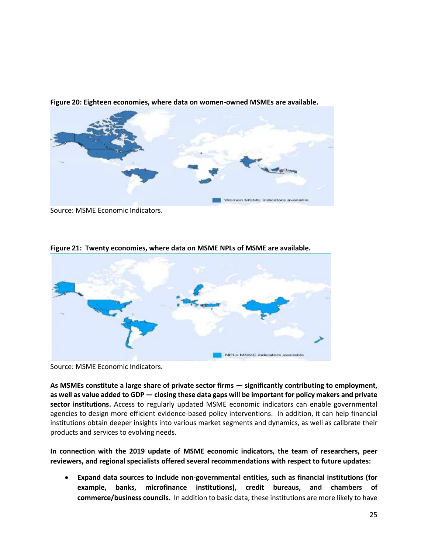

**Figure 20: Eighteen economies, where data on women-owned MSMEs are available.** 

Source: MSME Economic Indicators.



**Figure 21: Twenty economies, where data on MSME NPLs of MSME are available.**

Source: MSME Economic Indicators.

**As MSMEs constitute a large share of private sector firms — significantly contributing to employment, as well as value added to GDP — closing these data gaps will be important for policy makers and private sector institutions.** Access to regularly updated MSME economic indicators can enable governmental agencies to design more efficient evidence-based policy interventions. In addition, it can help financial institutions obtain deeper insights into various market segments and dynamics, as well as calibrate their products and services to evolving needs.

**In connection with the 2019 update of MSME economic indicators, the team of researchers, peer reviewers, and regional specialists offered several recommendations with respect to future updates:** 

• **Expand data sources to include non-governmental entities, such as financial institutions (for example, banks, microfinance institutions), credit bureaus, and chambers of commerce/business councils.** In addition to basic data, these institutions are more likely to have